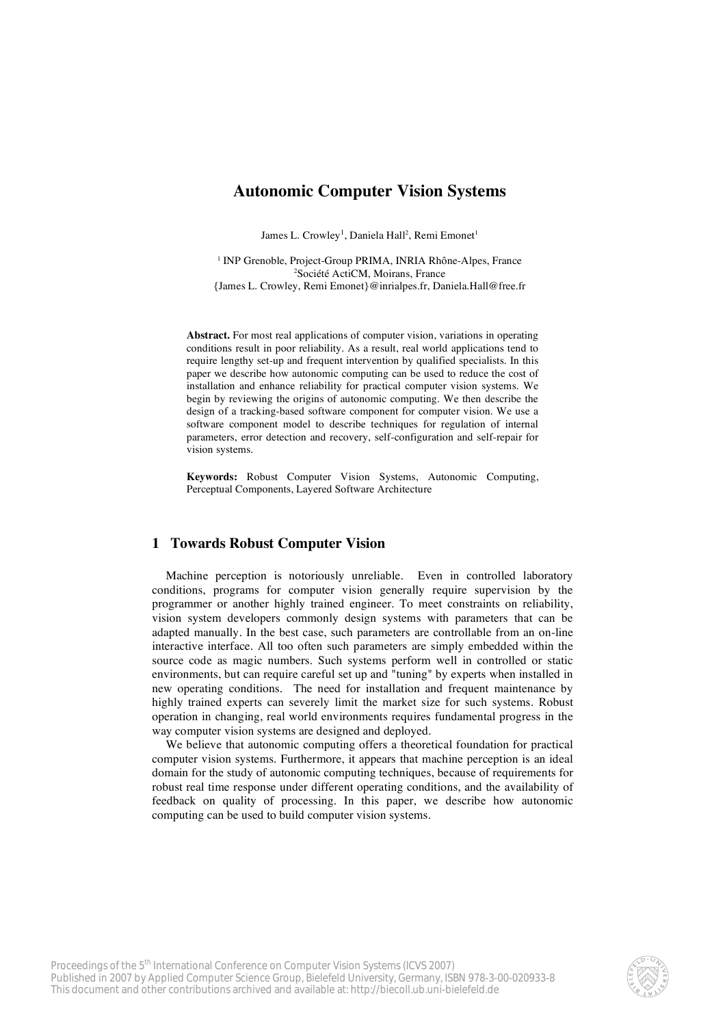# **Autonomic Computer Vision Systems**

James L. Crowley<sup>1</sup>, Daniela Hall<sup>2</sup>, Remi Emonet<sup>1</sup>

<sup>1</sup> INP Grenoble, Project-Group PRIMA, INRIA Rhône-Alpes, France 2 Société ActiCM, Moirans, France {James L. Crowley, Remi Emonet}@inrialpes.fr, Daniela.Hall@free.fr

**Abstract.** For most real applications of computer vision, variations in operating conditions result in poor reliability. As a result, real world applications tend to require lengthy set-up and frequent intervention by qualified specialists. In this paper we describe how autonomic computing can be used to reduce the cost of installation and enhance reliability for practical computer vision systems. We begin by reviewing the origins of autonomic computing. We then describe the design of a tracking-based software component for computer vision. We use a software component model to describe techniques for regulation of internal parameters, error detection and recovery, self-configuration and self-repair for vision systems.

**Keywords:** Robust Computer Vision Systems, Autonomic Computing, Perceptual Components, Layered Software Architecture

# **1 Towards Robust Computer Vision**

Machine perception is notoriously unreliable. Even in controlled laboratory conditions, programs for computer vision generally require supervision by the programmer or another highly trained engineer. To meet constraints on reliability, vision system developers commonly design systems with parameters that can be adapted manually. In the best case, such parameters are controllable from an on-line interactive interface. All too often such parameters are simply embedded within the source code as magic numbers. Such systems perform well in controlled or static environments, but can require careful set up and "tuning" by experts when installed in new operating conditions. The need for installation and frequent maintenance by highly trained experts can severely limit the market size for such systems. Robust operation in changing, real world environments requires fundamental progress in the way computer vision systems are designed and deployed.

We believe that autonomic computing offers a theoretical foundation for practical computer vision systems. Furthermore, it appears that machine perception is an ideal domain for the study of autonomic computing techniques, because of requirements for robust real time response under different operating conditions, and the availability of feedback on quality of processing. In this paper, we describe how autonomic computing can be used to build computer vision systems.

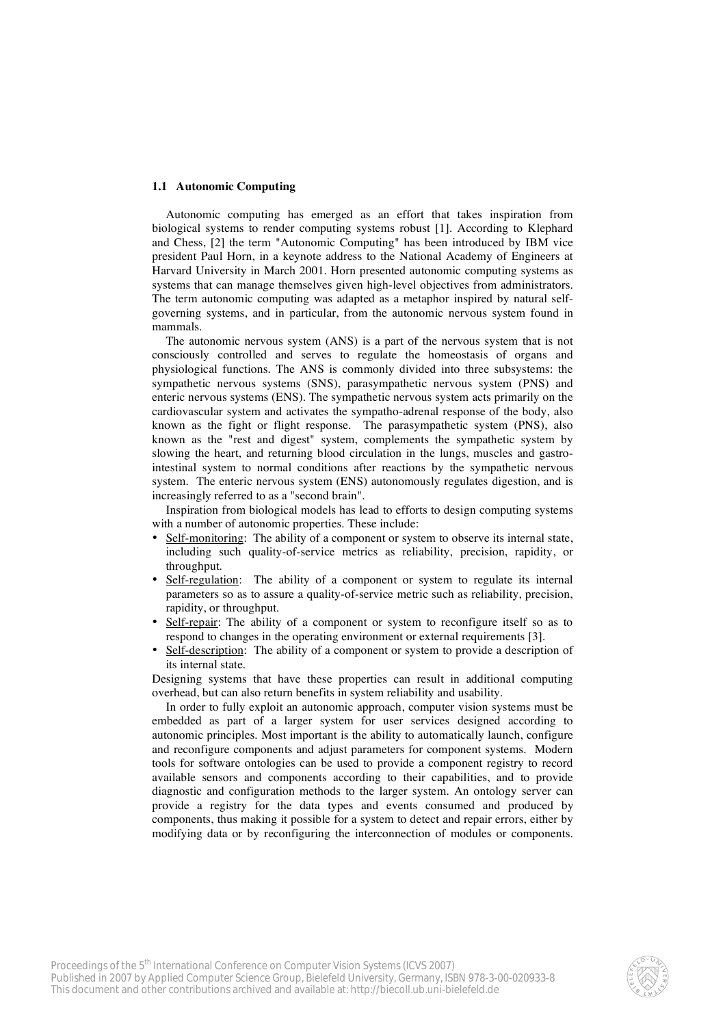### **1.1 Autonomic Computing**

Autonomic computing has emerged as an effort that takes inspiration from biological systems to render computing systems robust [1]. According to Klephard and Chess, [2] the term "Autonomic Computing" has been introduced by IBM vice president Paul Horn, in a keynote address to the National Academy of Engineers at Harvard University in March 2001. Horn presented autonomic computing systems as systems that can manage themselves given high-level objectives from administrators. The term autonomic computing was adapted as a metaphor inspired by natural selfgoverning systems, and in particular, from the autonomic nervous system found in mammals.

The autonomic nervous system (ANS) is a part of the nervous system that is not consciously controlled and serves to regulate the homeostasis of organs and physiological functions. The ANS is commonly divided into three subsystems: the sympathetic nervous systems (SNS), parasympathetic nervous system (PNS) and enteric nervous systems (ENS). The sympathetic nervous system acts primarily on the cardiovascular system and activates the sympatho-adrenal response of the body, also known as the fight or flight response. The parasympathetic system (PNS), also known as the "rest and digest" system, complements the sympathetic system by slowing the heart, and returning blood circulation in the lungs, muscles and gastrointestinal system to normal conditions after reactions by the sympathetic nervous system. The enteric nervous system (ENS) autonomously regulates digestion, and is increasingly referred to as a "second brain".

Inspiration from biological models has lead to efforts to design computing systems with a number of autonomic properties. These include:

- Self-monitoring: The ability of a component or system to observe its internal state, including such quality-of-service metrics as reliability, precision, rapidity, or throughput.
- Self-regulation: The ability of a component or system to regulate its internal parameters so as to assure a quality-of-service metric such as reliability, precision, rapidity, or throughput.
- Self-repair: The ability of a component or system to reconfigure itself so as to respond to changes in the operating environment or external requirements [3].
- Self-description: The ability of a component or system to provide a description of its internal state.

Designing systems that have these properties can result in additional computing overhead, but can also return benefits in system reliability and usability.

In order to fully exploit an autonomic approach, computer vision systems must be embedded as part of a larger system for user services designed according to autonomic principles. Most important is the ability to automatically launch, configure and reconfigure components and adjust parameters for component systems. Modern tools for software ontologies can be used to provide a component registry to record available sensors and components according to their capabilities, and to provide diagnostic and configuration methods to the larger system. An ontology server can provide a registry for the data types and events consumed and produced by components, thus making it possible for a system to detect and repair errors, either by modifying data or by reconfiguring the interconnection of modules or components.

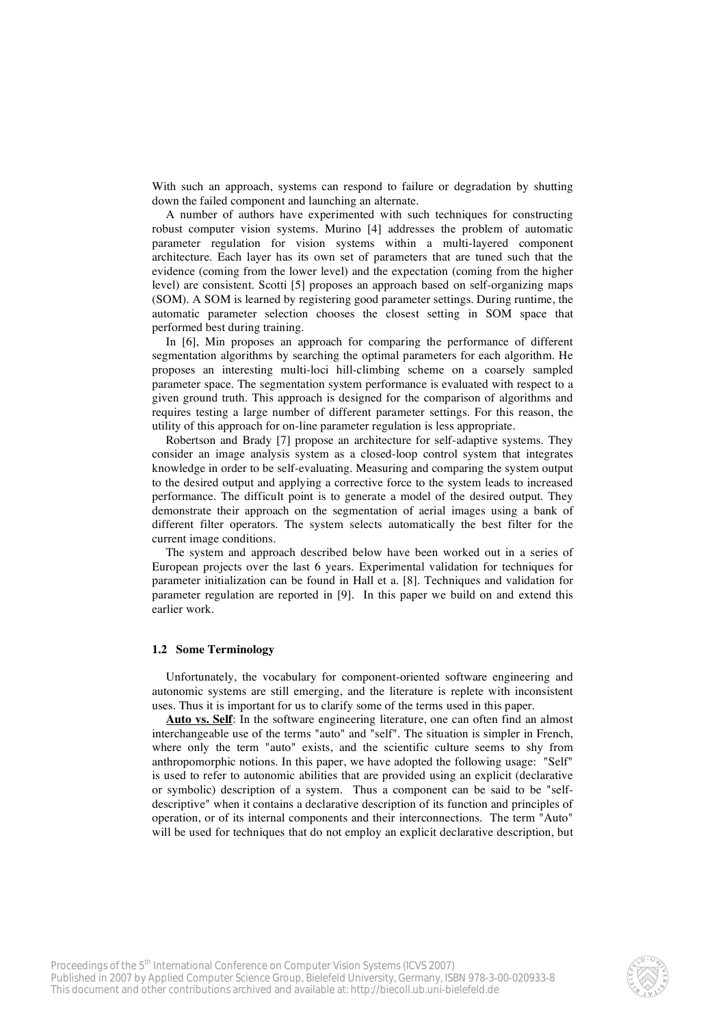With such an approach, systems can respond to failure or degradation by shutting down the failed component and launching an alternate.

A number of authors have experimented with such techniques for constructing robust computer vision systems. Murino [4] addresses the problem of automatic parameter regulation for vision systems within a multi-layered component architecture. Each layer has its own set of parameters that are tuned such that the evidence (coming from the lower level) and the expectation (coming from the higher level) are consistent. Scotti [5] proposes an approach based on self-organizing maps (SOM). A SOM is learned by registering good parameter settings. During runtime, the automatic parameter selection chooses the closest setting in SOM space that performed best during training.

In [6], Min proposes an approach for comparing the performance of different segmentation algorithms by searching the optimal parameters for each algorithm. He proposes an interesting multi-loci hill-climbing scheme on a coarsely sampled parameter space. The segmentation system performance is evaluated with respect to a given ground truth. This approach is designed for the comparison of algorithms and requires testing a large number of different parameter settings. For this reason, the utility of this approach for on-line parameter regulation is less appropriate.

Robertson and Brady [7] propose an architecture for self-adaptive systems. They consider an image analysis system as a closed-loop control system that integrates knowledge in order to be self-evaluating. Measuring and comparing the system output to the desired output and applying a corrective force to the system leads to increased performance. The difficult point is to generate a model of the desired output. They demonstrate their approach on the segmentation of aerial images using a bank of different filter operators. The system selects automatically the best filter for the current image conditions.

The system and approach described below have been worked out in a series of European projects over the last 6 years. Experimental validation for techniques for parameter initialization can be found in Hall et a. [8]. Techniques and validation for parameter regulation are reported in [9]. In this paper we build on and extend this earlier work.

### **1.2 Some Terminology**

Unfortunately, the vocabulary for component-oriented software engineering and autonomic systems are still emerging, and the literature is replete with inconsistent uses. Thus it is important for us to clarify some of the terms used in this paper.

**Auto vs. Self**: In the software engineering literature, one can often find an almost interchangeable use of the terms "auto" and "self". The situation is simpler in French, where only the term "auto" exists, and the scientific culture seems to shy from anthropomorphic notions. In this paper, we have adopted the following usage: "Self" is used to refer to autonomic abilities that are provided using an explicit (declarative or symbolic) description of a system. Thus a component can be said to be "selfdescriptive" when it contains a declarative description of its function and principles of operation, or of its internal components and their interconnections. The term "Auto" will be used for techniques that do not employ an explicit declarative description, but

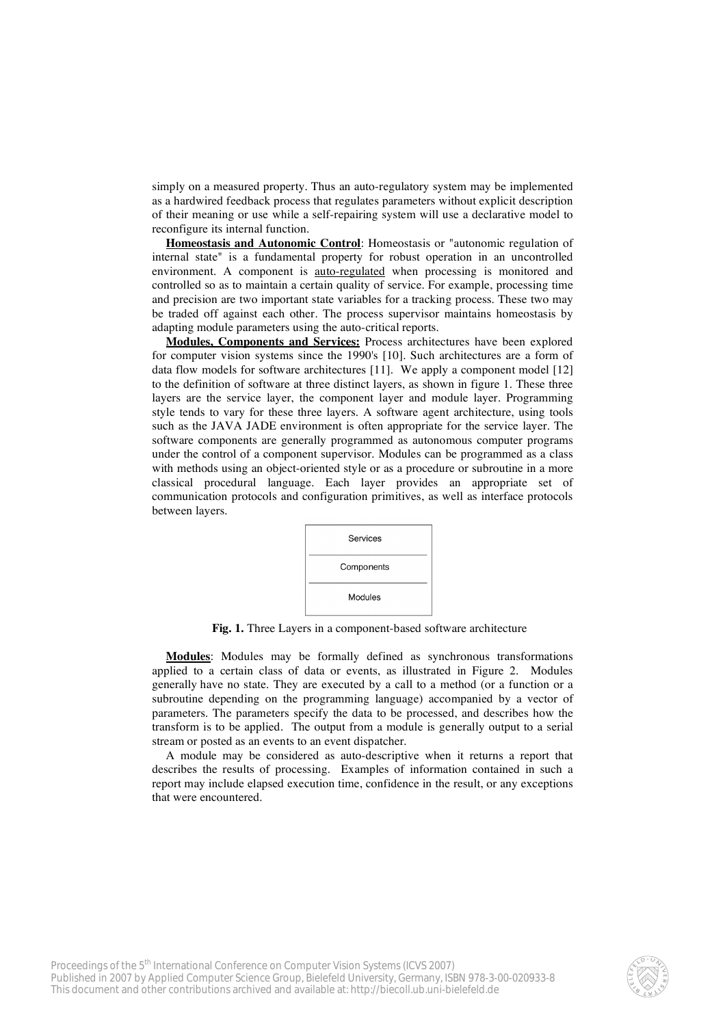simply on a measured property. Thus an auto-regulatory system may be implemented as a hardwired feedback process that regulates parameters without explicit description of their meaning or use while a self-repairing system will use a declarative model to reconfigure its internal function.

**Homeostasis and Autonomic Control**: Homeostasis or "autonomic regulation of internal state" is a fundamental property for robust operation in an uncontrolled environment. A component is auto-regulated when processing is monitored and controlled so as to maintain a certain quality of service. For example, processing time and precision are two important state variables for a tracking process. These two may be traded off against each other. The process supervisor maintains homeostasis by adapting module parameters using the auto-critical reports.

**Modules, Components and Services:** Process architectures have been explored for computer vision systems since the 1990's [10]. Such architectures are a form of data flow models for software architectures [11]. We apply a component model [12] to the definition of software at three distinct layers, as shown in figure 1. These three layers are the service layer, the component layer and module layer. Programming style tends to vary for these three layers. A software agent architecture, using tools such as the JAVA JADE environment is often appropriate for the service layer. The software components are generally programmed as autonomous computer programs under the control of a component supervisor. Modules can be programmed as a class with methods using an object-oriented style or as a procedure or subroutine in a more classical procedural language. Each layer provides an appropriate set of communication protocols and configuration primitives, as well as interface protocols between layers.



**Fig. 1.** Three Layers in a component-based software architecture

**Modules**: Modules may be formally defined as synchronous transformations applied to a certain class of data or events, as illustrated in Figure 2. Modules generally have no state. They are executed by a call to a method (or a function or a subroutine depending on the programming language) accompanied by a vector of parameters. The parameters specify the data to be processed, and describes how the transform is to be applied. The output from a module is generally output to a serial stream or posted as an events to an event dispatcher.

A module may be considered as auto-descriptive when it returns a report that describes the results of processing. Examples of information contained in such a report may include elapsed execution time, confidence in the result, or any exceptions that were encountered.

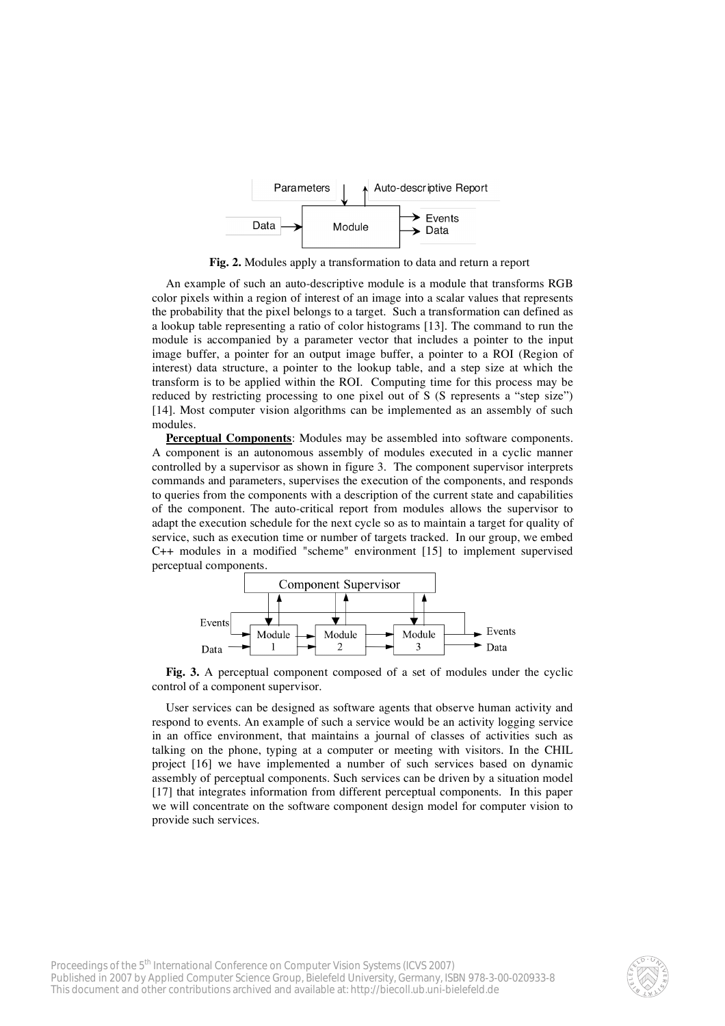

**Fig. 2.** Modules apply a transformation to data and return a report

An example of such an auto-descriptive module is a module that transforms RGB color pixels within a region of interest of an image into a scalar values that represents the probability that the pixel belongs to a target. Such a transformation can defined as a lookup table representing a ratio of color histograms [13]. The command to run the module is accompanied by a parameter vector that includes a pointer to the input image buffer, a pointer for an output image buffer, a pointer to a ROI (Region of interest) data structure, a pointer to the lookup table, and a step size at which the transform is to be applied within the ROI. Computing time for this process may be reduced by restricting processing to one pixel out of S (S represents a "step size") [14]. Most computer vision algorithms can be implemented as an assembly of such modules.

**Perceptual Components**: Modules may be assembled into software components. A component is an autonomous assembly of modules executed in a cyclic manner controlled by a supervisor as shown in figure 3. The component supervisor interprets commands and parameters, supervises the execution of the components, and responds to queries from the components with a description of the current state and capabilities of the component. The auto-critical report from modules allows the supervisor to adapt the execution schedule for the next cycle so as to maintain a target for quality of service, such as execution time or number of targets tracked. In our group, we embed C++ modules in a modified "scheme" environment [15] to implement supervised perceptual components.



**Fig. 3.** A perceptual component composed of a set of modules under the cyclic control of a component supervisor.

User services can be designed as software agents that observe human activity and respond to events. An example of such a service would be an activity logging service in an office environment, that maintains a journal of classes of activities such as talking on the phone, typing at a computer or meeting with visitors. In the CHIL project [16] we have implemented a number of such services based on dynamic assembly of perceptual components. Such services can be driven by a situation model [17] that integrates information from different perceptual components. In this paper we will concentrate on the software component design model for computer vision to provide such services.

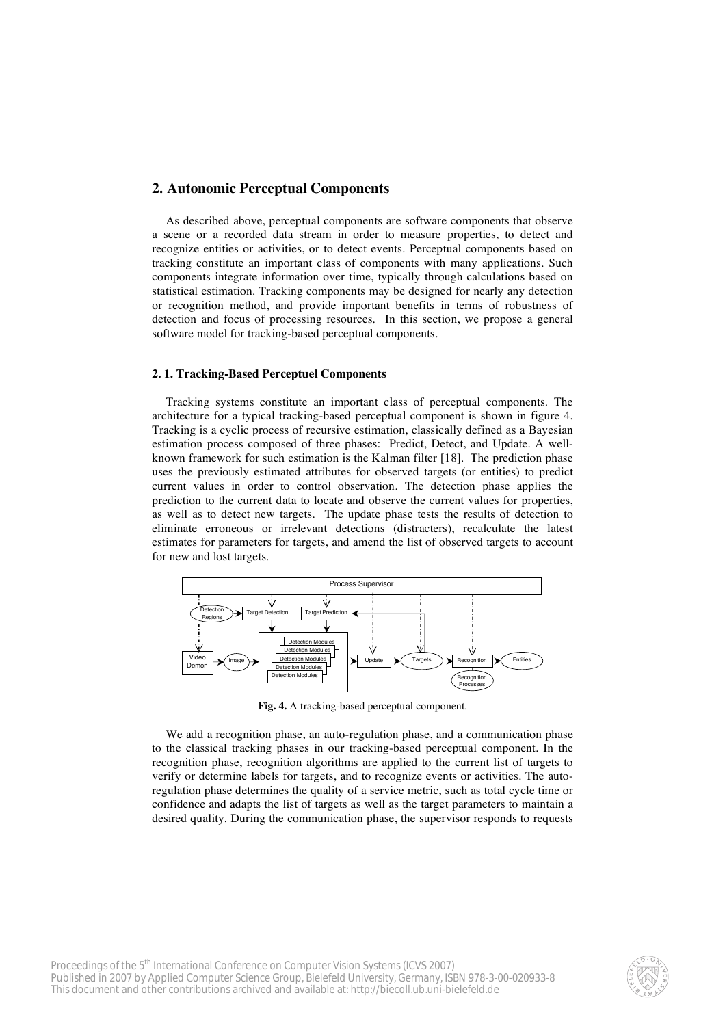# **2. Autonomic Perceptual Components**

As described above, perceptual components are software components that observe a scene or a recorded data stream in order to measure properties, to detect and recognize entities or activities, or to detect events. Perceptual components based on tracking constitute an important class of components with many applications. Such components integrate information over time, typically through calculations based on statistical estimation. Tracking components may be designed for nearly any detection or recognition method, and provide important benefits in terms of robustness of detection and focus of processing resources. In this section, we propose a general software model for tracking-based perceptual components.

#### **2. 1. Tracking-Based Perceptuel Components**

Tracking systems constitute an important class of perceptual components. The architecture for a typical tracking-based perceptual component is shown in figure 4. Tracking is a cyclic process of recursive estimation, classically defined as a Bayesian estimation process composed of three phases: Predict, Detect, and Update. A wellknown framework for such estimation is the Kalman filter [18]. The prediction phase uses the previously estimated attributes for observed targets (or entities) to predict current values in order to control observation. The detection phase applies the prediction to the current data to locate and observe the current values for properties, as well as to detect new targets. The update phase tests the results of detection to eliminate erroneous or irrelevant detections (distracters), recalculate the latest estimates for parameters for targets, and amend the list of observed targets to account for new and lost targets.



**Fig. 4.** A tracking-based perceptual component.

We add a recognition phase, an auto-regulation phase, and a communication phase to the classical tracking phases in our tracking-based perceptual component. In the recognition phase, recognition algorithms are applied to the current list of targets to verify or determine labels for targets, and to recognize events or activities. The autoregulation phase determines the quality of a service metric, such as total cycle time or confidence and adapts the list of targets as well as the target parameters to maintain a desired quality. During the communication phase, the supervisor responds to requests

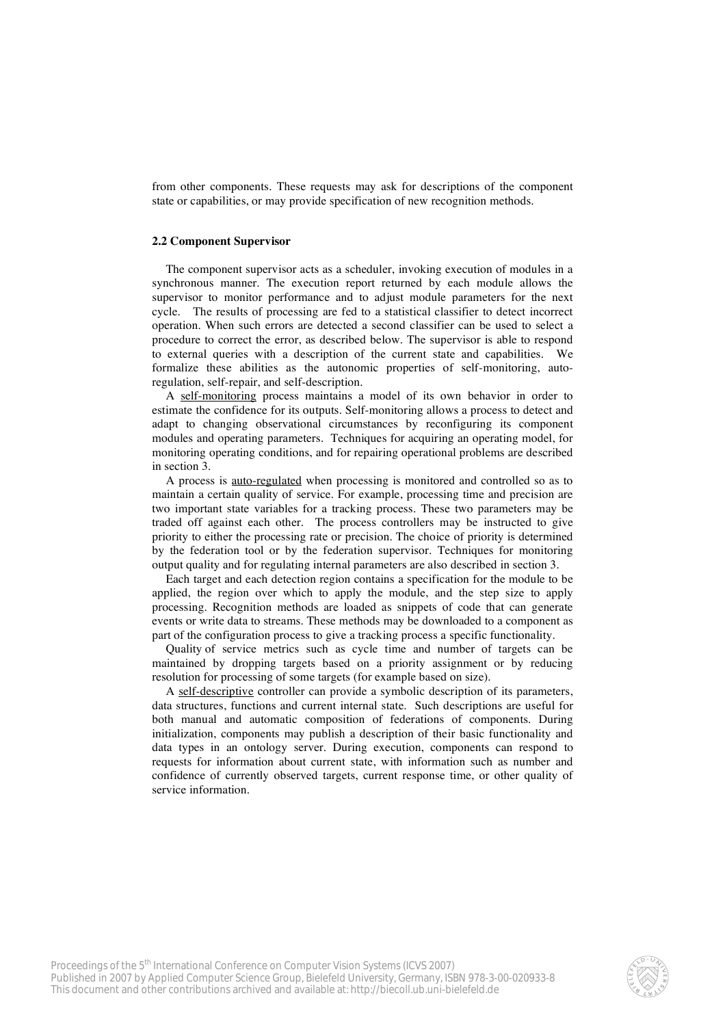from other components. These requests may ask for descriptions of the component state or capabilities, or may provide specification of new recognition methods.

### **2.2 Component Supervisor**

The component supervisor acts as a scheduler, invoking execution of modules in a synchronous manner. The execution report returned by each module allows the supervisor to monitor performance and to adjust module parameters for the next cycle. The results of processing are fed to a statistical classifier to detect incorrect operation. When such errors are detected a second classifier can be used to select a procedure to correct the error, as described below. The supervisor is able to respond to external queries with a description of the current state and capabilities. We formalize these abilities as the autonomic properties of self-monitoring, autoregulation, self-repair, and self-description.

A self-monitoring process maintains a model of its own behavior in order to estimate the confidence for its outputs. Self-monitoring allows a process to detect and adapt to changing observational circumstances by reconfiguring its component modules and operating parameters. Techniques for acquiring an operating model, for monitoring operating conditions, and for repairing operational problems are described in section 3.

A process is auto-regulated when processing is monitored and controlled so as to maintain a certain quality of service. For example, processing time and precision are two important state variables for a tracking process. These two parameters may be traded off against each other. The process controllers may be instructed to give priority to either the processing rate or precision. The choice of priority is determined by the federation tool or by the federation supervisor. Techniques for monitoring output quality and for regulating internal parameters are also described in section 3.

Each target and each detection region contains a specification for the module to be applied, the region over which to apply the module, and the step size to apply processing. Recognition methods are loaded as snippets of code that can generate events or write data to streams. These methods may be downloaded to a component as part of the configuration process to give a tracking process a specific functionality.

Quality of service metrics such as cycle time and number of targets can be maintained by dropping targets based on a priority assignment or by reducing resolution for processing of some targets (for example based on size).

A self-descriptive controller can provide a symbolic description of its parameters, data structures, functions and current internal state. Such descriptions are useful for both manual and automatic composition of federations of components. During initialization, components may publish a description of their basic functionality and data types in an ontology server. During execution, components can respond to requests for information about current state, with information such as number and confidence of currently observed targets, current response time, or other quality of service information.

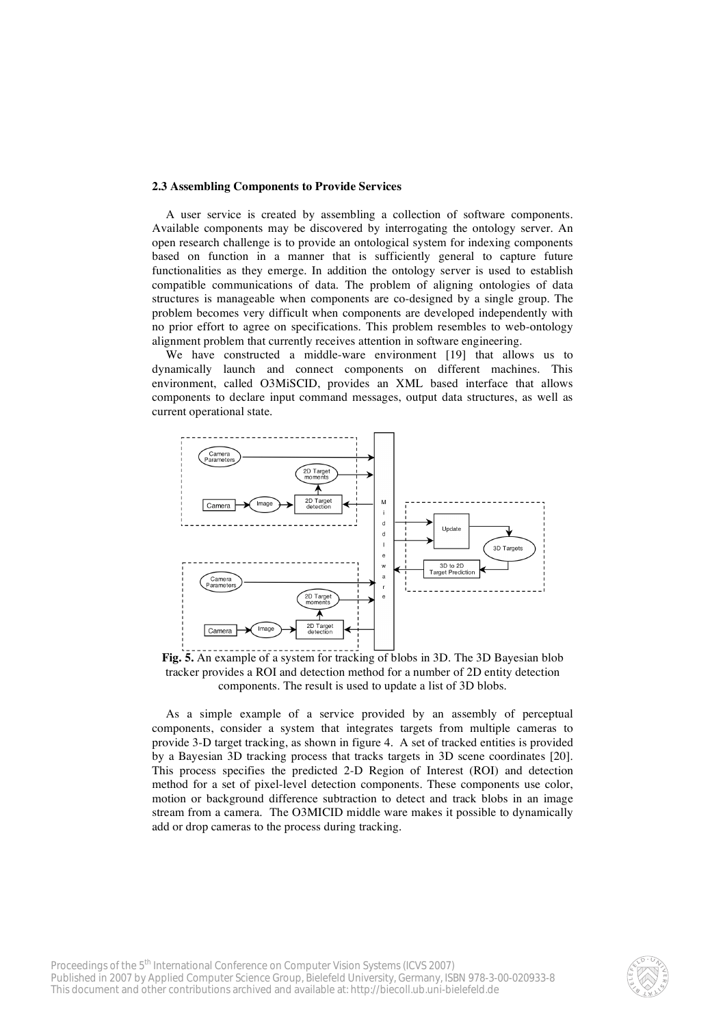#### **2.3 Assembling Components to Provide Services**

A user service is created by assembling a collection of software components. Available components may be discovered by interrogating the ontology server. An open research challenge is to provide an ontological system for indexing components based on function in a manner that is sufficiently general to capture future functionalities as they emerge. In addition the ontology server is used to establish compatible communications of data. The problem of aligning ontologies of data structures is manageable when components are co-designed by a single group. The problem becomes very difficult when components are developed independently with no prior effort to agree on specifications. This problem resembles to web-ontology alignment problem that currently receives attention in software engineering.

We have constructed a middle-ware environment [19] that allows us to dynamically launch and connect components on different machines. This environment, called O3MiSCID, provides an XML based interface that allows components to declare input command messages, output data structures, as well as current operational state.



**Fig. 5.** An example of a system for tracking of blobs in 3D. The 3D Bayesian blob tracker provides a ROI and detection method for a number of 2D entity detection components. The result is used to update a list of 3D blobs.

As a simple example of a service provided by an assembly of perceptual components, consider a system that integrates targets from multiple cameras to provide 3-D target tracking, as shown in figure 4. A set of tracked entities is provided by a Bayesian 3D tracking process that tracks targets in 3D scene coordinates [20]. This process specifies the predicted 2-D Region of Interest (ROI) and detection method for a set of pixel-level detection components. These components use color, motion or background difference subtraction to detect and track blobs in an image stream from a camera. The O3MICID middle ware makes it possible to dynamically add or drop cameras to the process during tracking.

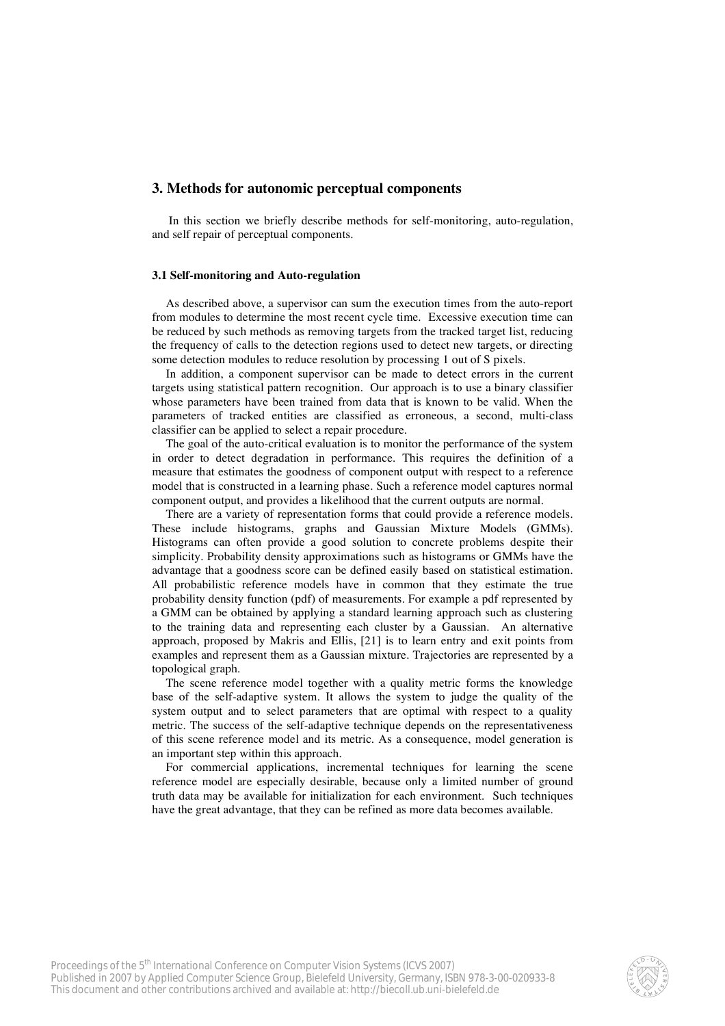### **3. Methods for autonomic perceptual components**

 In this section we briefly describe methods for self-monitoring, auto-regulation, and self repair of perceptual components.

### **3.1 Self-monitoring and Auto-regulation**

As described above, a supervisor can sum the execution times from the auto-report from modules to determine the most recent cycle time. Excessive execution time can be reduced by such methods as removing targets from the tracked target list, reducing the frequency of calls to the detection regions used to detect new targets, or directing some detection modules to reduce resolution by processing 1 out of S pixels.

In addition, a component supervisor can be made to detect errors in the current targets using statistical pattern recognition. Our approach is to use a binary classifier whose parameters have been trained from data that is known to be valid. When the parameters of tracked entities are classified as erroneous, a second, multi-class classifier can be applied to select a repair procedure.

The goal of the auto-critical evaluation is to monitor the performance of the system in order to detect degradation in performance. This requires the definition of a measure that estimates the goodness of component output with respect to a reference model that is constructed in a learning phase. Such a reference model captures normal component output, and provides a likelihood that the current outputs are normal.

There are a variety of representation forms that could provide a reference models. These include histograms, graphs and Gaussian Mixture Models (GMMs). Histograms can often provide a good solution to concrete problems despite their simplicity. Probability density approximations such as histograms or GMMs have the advantage that a goodness score can be defined easily based on statistical estimation. All probabilistic reference models have in common that they estimate the true probability density function (pdf) of measurements. For example a pdf represented by a GMM can be obtained by applying a standard learning approach such as clustering to the training data and representing each cluster by a Gaussian. An alternative approach, proposed by Makris and Ellis, [21] is to learn entry and exit points from examples and represent them as a Gaussian mixture. Trajectories are represented by a topological graph.

The scene reference model together with a quality metric forms the knowledge base of the self-adaptive system. It allows the system to judge the quality of the system output and to select parameters that are optimal with respect to a quality metric. The success of the self-adaptive technique depends on the representativeness of this scene reference model and its metric. As a consequence, model generation is an important step within this approach.

For commercial applications, incremental techniques for learning the scene reference model are especially desirable, because only a limited number of ground truth data may be available for initialization for each environment. Such techniques have the great advantage, that they can be refined as more data becomes available.

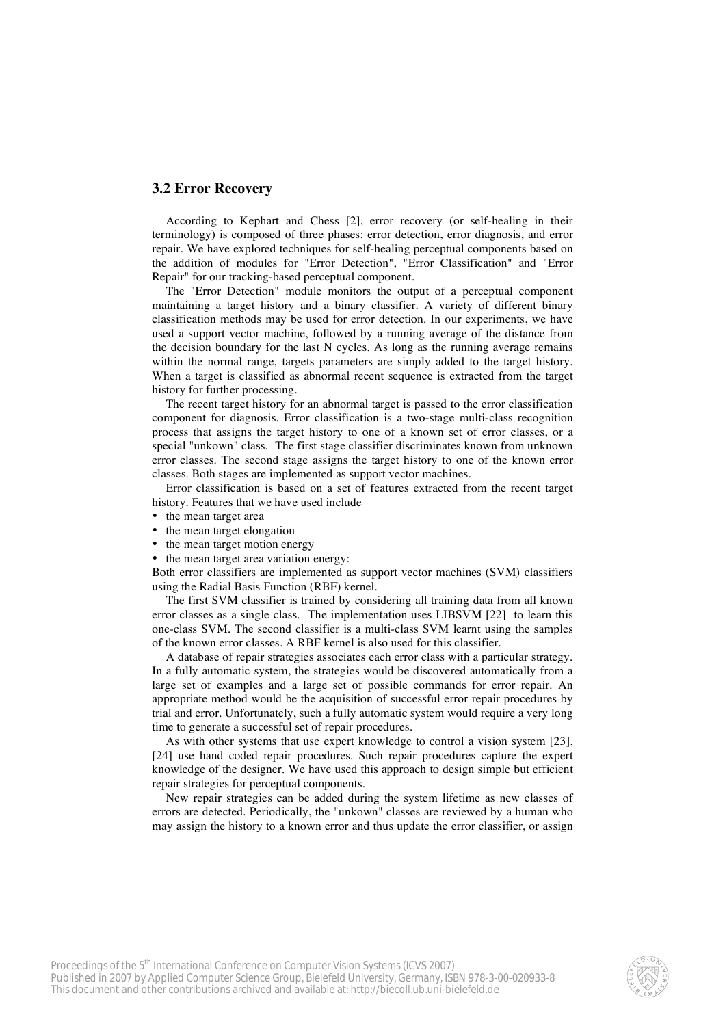# **3.2 Error Recovery**

According to Kephart and Chess [2], error recovery (or self-healing in their terminology) is composed of three phases: error detection, error diagnosis, and error repair. We have explored techniques for self-healing perceptual components based on the addition of modules for "Error Detection", "Error Classification" and "Error Repair" for our tracking-based perceptual component.

The "Error Detection" module monitors the output of a perceptual component maintaining a target history and a binary classifier. A variety of different binary classification methods may be used for error detection. In our experiments, we have used a support vector machine, followed by a running average of the distance from the decision boundary for the last N cycles. As long as the running average remains within the normal range, targets parameters are simply added to the target history. When a target is classified as abnormal recent sequence is extracted from the target history for further processing.

The recent target history for an abnormal target is passed to the error classification component for diagnosis. Error classification is a two-stage multi-class recognition process that assigns the target history to one of a known set of error classes, or a special "unkown" class. The first stage classifier discriminates known from unknown error classes. The second stage assigns the target history to one of the known error classes. Both stages are implemented as support vector machines.

Error classification is based on a set of features extracted from the recent target history. Features that we have used include

- the mean target area
- the mean target elongation
- the mean target motion energy
- the mean target area variation energy:

Both error classifiers are implemented as support vector machines (SVM) classifiers using the Radial Basis Function (RBF) kernel.

The first SVM classifier is trained by considering all training data from all known error classes as a single class. The implementation uses LIBSVM [22] to learn this one-class SVM. The second classifier is a multi-class SVM learnt using the samples of the known error classes. A RBF kernel is also used for this classifier.

A database of repair strategies associates each error class with a particular strategy. In a fully automatic system, the strategies would be discovered automatically from a large set of examples and a large set of possible commands for error repair. An appropriate method would be the acquisition of successful error repair procedures by trial and error. Unfortunately, such a fully automatic system would require a very long time to generate a successful set of repair procedures.

As with other systems that use expert knowledge to control a vision system [23], [24] use hand coded repair procedures. Such repair procedures capture the expert knowledge of the designer. We have used this approach to design simple but efficient repair strategies for perceptual components.

New repair strategies can be added during the system lifetime as new classes of errors are detected. Periodically, the "unkown" classes are reviewed by a human who may assign the history to a known error and thus update the error classifier, or assign

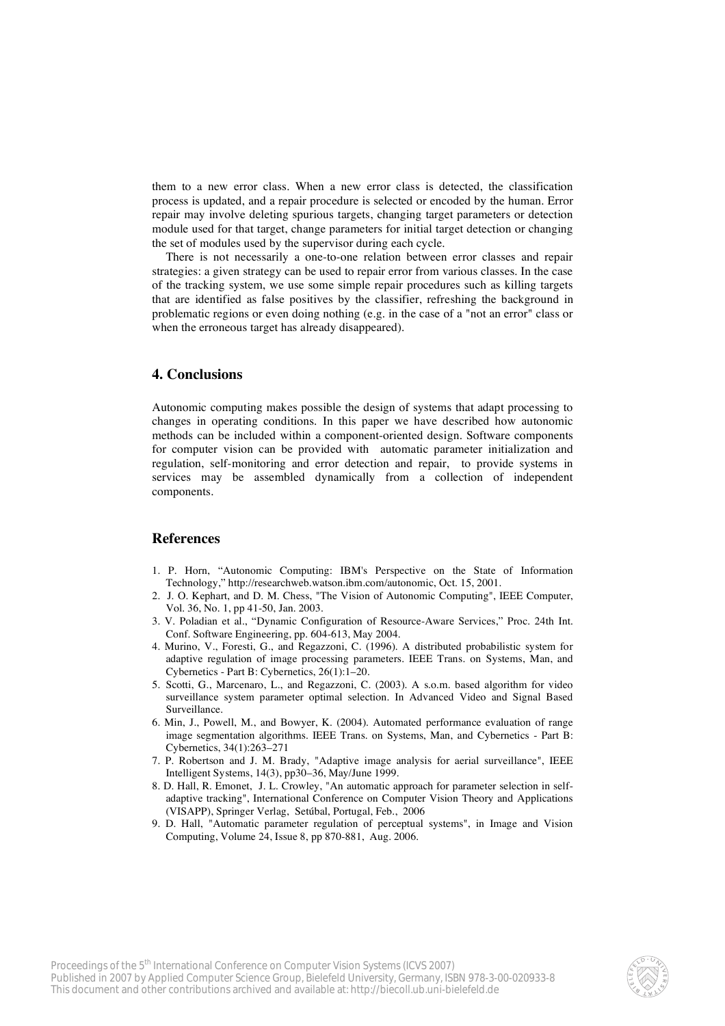them to a new error class. When a new error class is detected, the classification process is updated, and a repair procedure is selected or encoded by the human. Error repair may involve deleting spurious targets, changing target parameters or detection module used for that target, change parameters for initial target detection or changing the set of modules used by the supervisor during each cycle.

There is not necessarily a one-to-one relation between error classes and repair strategies: a given strategy can be used to repair error from various classes. In the case of the tracking system, we use some simple repair procedures such as killing targets that are identified as false positives by the classifier, refreshing the background in problematic regions or even doing nothing (e.g. in the case of a "not an error" class or when the erroneous target has already disappeared).

# **4. Conclusions**

Autonomic computing makes possible the design of systems that adapt processing to changes in operating conditions. In this paper we have described how autonomic methods can be included within a component-oriented design. Software components for computer vision can be provided with automatic parameter initialization and regulation, self-monitoring and error detection and repair, to provide systems in services may be assembled dynamically from a collection of independent components.

## **References**

- 1. P. Horn, "Autonomic Computing: IBM's Perspective on the State of Information Technology," http://researchweb.watson.ibm.com/autonomic, Oct. 15, 2001.
- 2. J. O. Kephart, and D. M. Chess, "The Vision of Autonomic Computing", IEEE Computer, Vol. 36, No. 1, pp 41-50, Jan. 2003.
- 3. V. Poladian et al., "Dynamic Configuration of Resource-Aware Services," Proc. 24th Int. Conf. Software Engineering, pp. 604-613, May 2004.
- 4. Murino, V., Foresti, G., and Regazzoni, C. (1996). A distributed probabilistic system for adaptive regulation of image processing parameters. IEEE Trans. on Systems, Man, and Cybernetics - Part B: Cybernetics, 26(1):1–20.
- 5. Scotti, G., Marcenaro, L., and Regazzoni, C. (2003). A s.o.m. based algorithm for video surveillance system parameter optimal selection. In Advanced Video and Signal Based Surveillance.
- 6. Min, J., Powell, M., and Bowyer, K. (2004). Automated performance evaluation of range image segmentation algorithms. IEEE Trans. on Systems, Man, and Cybernetics - Part B: Cybernetics, 34(1):263–271
- 7. P. Robertson and J. M. Brady, "Adaptive image analysis for aerial surveillance", IEEE Intelligent Systems, 14(3), pp30–36, May/June 1999.
- 8. D. Hall, R. Emonet, J. L. Crowley, "An automatic approach for parameter selection in selfadaptive tracking", International Conference on Computer Vision Theory and Applications (VISAPP), Springer Verlag, Setúbal, Portugal, Feb., 2006
- 9. D. Hall, "Automatic parameter regulation of perceptual systems", in Image and Vision Computing, Volume 24, Issue 8, pp 870-881, Aug. 2006.